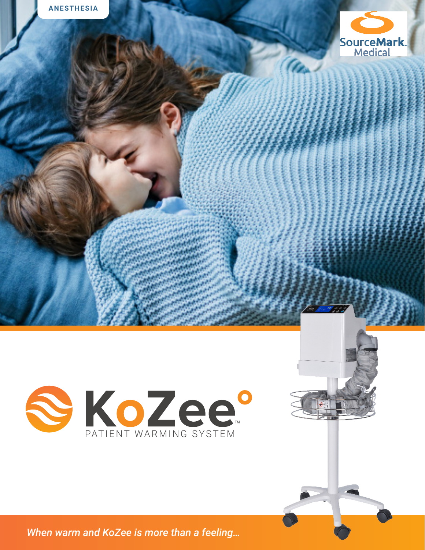



When warm and KoZee is more than a feeling...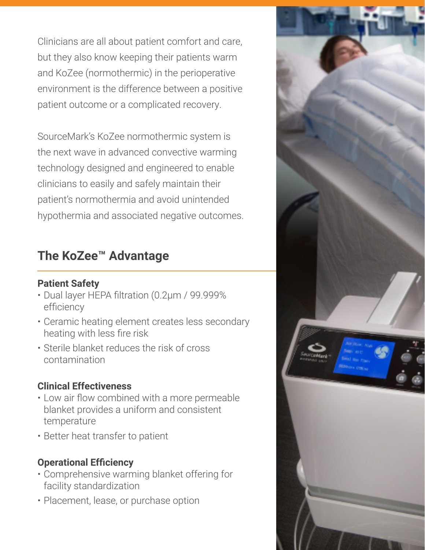Clinicians are all about patient comfort and care, but they also know keeping their patients warm and KoZee (normothermic) in the perioperative environment is the difference between a positive patient outcome or a complicated recovery.

SourceMark's KoZee normothermic system is the next wave in advanced convective warming technology designed and engineered to enable clinicians to easily and safely maintain their patient's normothermia and avoid unintended hypothermia and associated negative outcomes.

## **The KoZee™ Advantage**

#### **Patient Safety**

- Dual layer HEPA filtration (0.2µm / 99.999% efficiency
- Ceramic heating element creates less secondary heating with less fire risk
- Sterile blanket reduces the risk of cross contamination

### **Clinical Effectiveness**

- Low air flow combined with a more permeable blanket provides a uniform and consistent temperature
- Better heat transfer to patient

### **Operational Efficiency**

- Comprehensive warming blanket offering for facility standardization
- Placement, lease, or purchase option

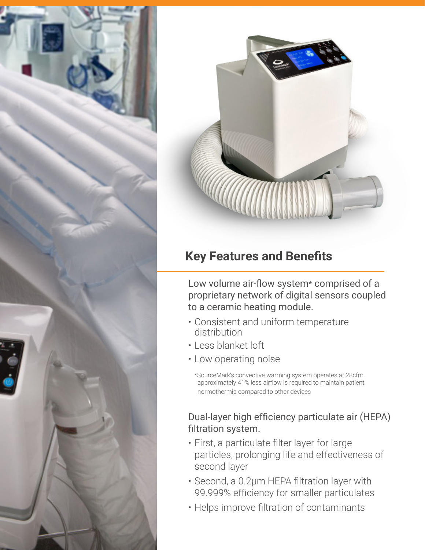



# **Key Features and Benefits**

Low volume air-flow system\* comprised of a proprietary network of digital sensors coupled to a ceramic heating module.

- Consistent and uniform temperature distribution
- Less blanket loft
- Low operating noise

\*SourceMark's convective warming system operates at 28cfm, approximately 41% less airflow is required to maintain patient normothermia compared to other devices

### Dual-layer high efficiency particulate air (HEPA) filtration system.

- First, a particulate filter layer for large particles, prolonging life and effectiveness of second layer
- Second, a 0.2µm HEPA filtration layer with 99.999% efficiency for smaller particulates
- Helps improve filtration of contaminants